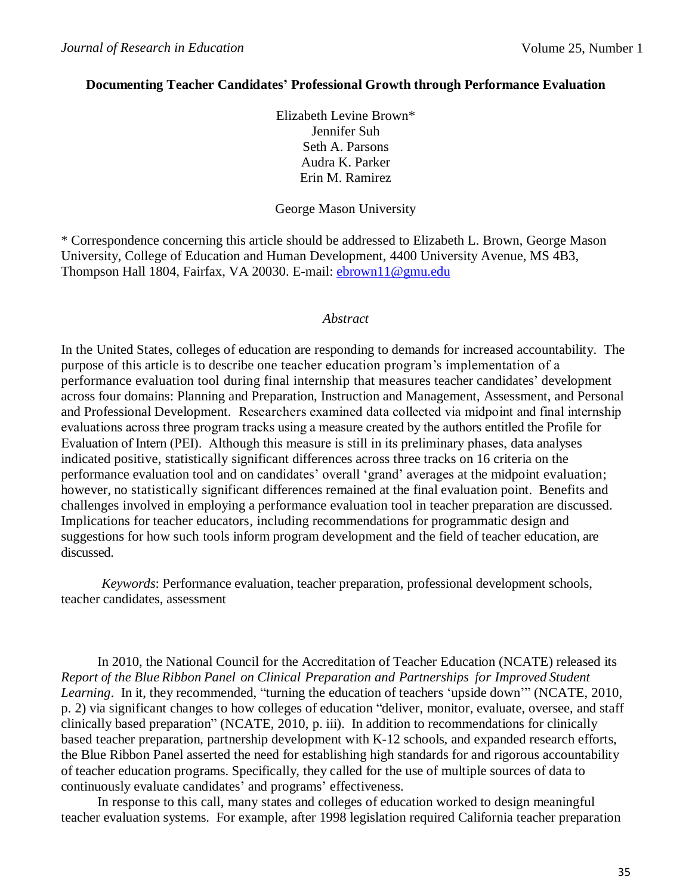### **Documenting Teacher Candidates' Professional Growth through Performance Evaluation**

Elizabeth Levine Brown\* Jennifer Suh Seth A. Parsons Audra K. Parker Erin M. Ramirez

#### George Mason University

\* Correspondence concerning this article should be addressed to Elizabeth L. Brown, George Mason University, College of Education and Human Development, 4400 University Avenue, MS 4B3, Thompson Hall 1804, Fairfax, VA 20030. E-mail: [ebrown11@gmu.edu](mailto:ebrown11@gmu.edu)

#### *Abstract*

In the United States, colleges of education are responding to demands for increased accountability. The purpose of this article is to describe one teacher education program's implementation of a performance evaluation tool during final internship that measures teacher candidates' development across four domains: Planning and Preparation, Instruction and Management, Assessment, and Personal and Professional Development. Researchers examined data collected via midpoint and final internship evaluations across three program tracks using a measure created by the authors entitled the Profile for Evaluation of Intern (PEI). Although this measure is still in its preliminary phases, data analyses indicated positive, statistically significant differences across three tracks on 16 criteria on the performance evaluation tool and on candidates' overall 'grand' averages at the midpoint evaluation; however, no statistically significant differences remained at the final evaluation point. Benefits and challenges involved in employing a performance evaluation tool in teacher preparation are discussed. Implications for teacher educators, including recommendations for programmatic design and suggestions for how such tools inform program development and the field of teacher education, are discussed.

*Keywords*: Performance evaluation, teacher preparation, professional development schools, teacher candidates, assessment

In 2010, the National Council for the Accreditation of Teacher Education (NCATE) released its *Report of the Blue Ribbon Panel on Clinical Preparation and Partnerships for Improved Student Learning*. In it, they recommended, "turning the education of teachers 'upside down'" (NCATE, 2010, p. 2) via significant changes to how colleges of education "deliver, monitor, evaluate, oversee, and staff clinically based preparation" (NCATE, 2010, p. iii). In addition to recommendations for clinically based teacher preparation, partnership development with K-12 schools, and expanded research efforts, the Blue Ribbon Panel asserted the need for establishing high standards for and rigorous accountability of teacher education programs. Specifically, they called for the use of multiple sources of data to continuously evaluate candidates' and programs' effectiveness.

In response to this call, many states and colleges of education worked to design meaningful teacher evaluation systems. For example, after 1998 legislation required California teacher preparation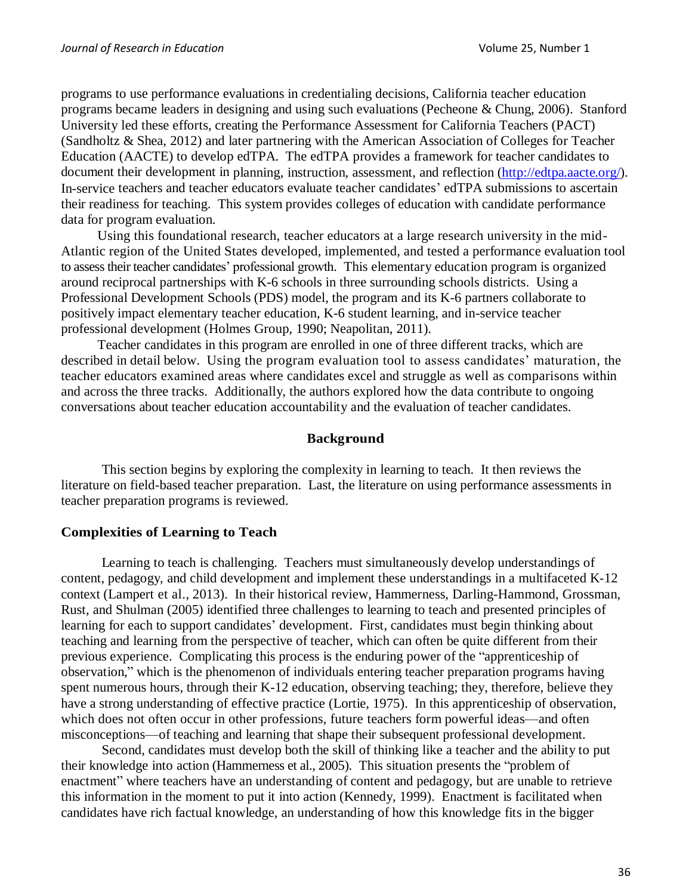programs to use performance evaluations in credentialing decisions, California teacher education programs became leaders in designing and using such evaluations (Pecheone & Chung, 2006). Stanford University led these efforts, creating the Performance Assessment for California Teachers (PACT) (Sandholtz & Shea, 2012) and later partnering with the American Association of Colleges for Teacher Education (AACTE) to develop edTPA. The edTPA provides a framework for teacher candidates to document their development in planning, instruction, assessment, and reflection [\(http://edtpa.aacte.org/\)](http://edtpa.aacte.org/). In-service teachers and teacher educators evaluate teacher candidates' edTPA submissions to ascertain their readiness for teaching. This system provides colleges of education with candidate performance data for program evaluation.

Using this foundational research, teacher educators at a large research university in the mid-Atlantic region of the United States developed, implemented, and tested a performance evaluation tool to assess their teacher candidates' professional growth. This elementary education program is organized around reciprocal partnerships with K-6 schools in three surrounding schools districts. Using a Professional Development Schools (PDS) model, the program and its K-6 partners collaborate to positively impact elementary teacher education, K-6 student learning, and in-service teacher professional development (Holmes Group, 1990; Neapolitan, 2011).

Teacher candidates in this program are enrolled in one of three different tracks, which are described in detail below. Using the program evaluation tool to assess candidates' maturation, the teacher educators examined areas where candidates excel and struggle as well as comparisons within and across the three tracks. Additionally, the authors explored how the data contribute to ongoing conversations about teacher education accountability and the evaluation of teacher candidates.

#### **Background**

This section begins by exploring the complexity in learning to teach. It then reviews the literature on field-based teacher preparation. Last, the literature on using performance assessments in teacher preparation programs is reviewed.

### **Complexities of Learning to Teach**

Learning to teach is challenging. Teachers must simultaneously develop understandings of content, pedagogy, and child development and implement these understandings in a multifaceted K-12 context (Lampert et al., 2013). In their historical review, Hammerness, Darling-Hammond, Grossman, Rust, and Shulman (2005) identified three challenges to learning to teach and presented principles of learning for each to support candidates' development. First, candidates must begin thinking about teaching and learning from the perspective of teacher, which can often be quite different from their previous experience. Complicating this process is the enduring power of the "apprenticeship of observation," which is the phenomenon of individuals entering teacher preparation programs having spent numerous hours, through their K-12 education, observing teaching; they, therefore, believe they have a strong understanding of effective practice (Lortie, 1975). In this apprenticeship of observation, which does not often occur in other professions, future teachers form powerful ideas—and often misconceptions—of teaching and learning that shape their subsequent professional development.

Second, candidates must develop both the skill of thinking like a teacher and the ability to put their knowledge into action (Hammerness et al., 2005). This situation presents the "problem of enactment" where teachers have an understanding of content and pedagogy, but are unable to retrieve this information in the moment to put it into action (Kennedy, 1999). Enactment is facilitated when candidates have rich factual knowledge, an understanding of how this knowledge fits in the bigger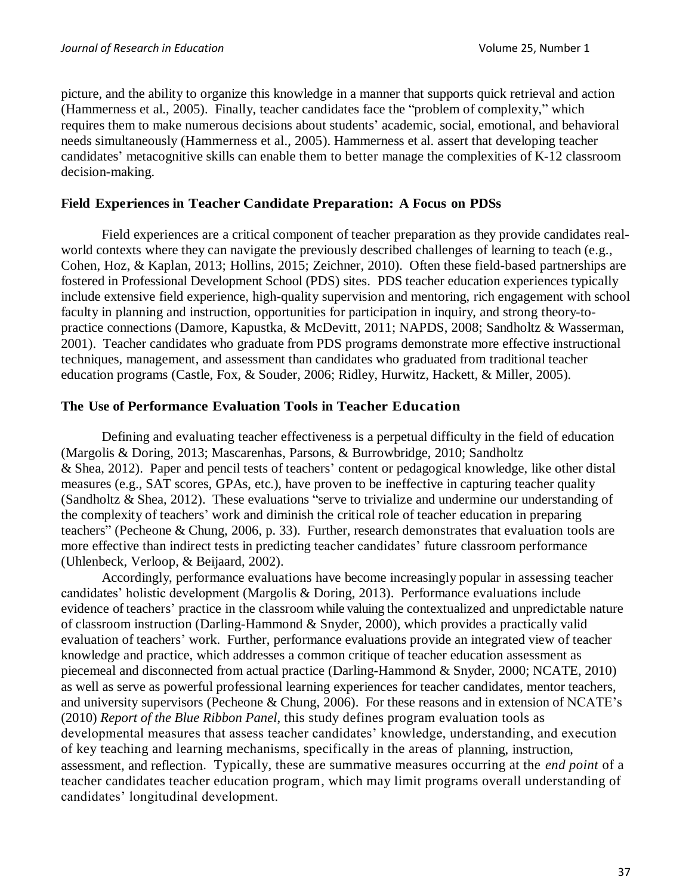picture, and the ability to organize this knowledge in a manner that supports quick retrieval and action (Hammerness et al., 2005). Finally, teacher candidates face the "problem of complexity," which requires them to make numerous decisions about students' academic, social, emotional, and behavioral needs simultaneously (Hammerness et al., 2005). Hammerness et al. assert that developing teacher candidates' metacognitive skills can enable them to better manage the complexities of K-12 classroom decision-making.

## **Field Experiences in Teacher Candidate Preparation: A Focus on PDSs**

Field experiences are a critical component of teacher preparation as they provide candidates realworld contexts where they can navigate the previously described challenges of learning to teach (e.g., Cohen, Hoz, & Kaplan, 2013; Hollins, 2015; Zeichner, 2010). Often these field-based partnerships are fostered in Professional Development School (PDS) sites. PDS teacher education experiences typically include extensive field experience, high-quality supervision and mentoring, rich engagement with school faculty in planning and instruction, opportunities for participation in inquiry, and strong theory-topractice connections (Damore, Kapustka, & McDevitt, 2011; NAPDS, 2008; Sandholtz & Wasserman, 2001). Teacher candidates who graduate from PDS programs demonstrate more effective instructional techniques, management, and assessment than candidates who graduated from traditional teacher education programs (Castle, Fox, & Souder, 2006; Ridley, Hurwitz, Hackett, & Miller, 2005).

## **The Use of Performance Evaluation Tools in Teacher Education**

Defining and evaluating teacher effectiveness is a perpetual difficulty in the field of education (Margolis & Doring, 2013; Mascarenhas, Parsons, & Burrowbridge, 2010; Sandholtz & Shea, 2012). Paper and pencil tests of teachers' content or pedagogical knowledge, like other distal measures (e.g., SAT scores, GPAs, etc.), have proven to be ineffective in capturing teacher quality (Sandholtz & Shea, 2012). These evaluations "serve to trivialize and undermine our understanding of the complexity of teachers' work and diminish the critical role of teacher education in preparing teachers" (Pecheone & Chung, 2006, p. 33). Further, research demonstrates that evaluation tools are more effective than indirect tests in predicting teacher candidates' future classroom performance (Uhlenbeck, Verloop, & Beijaard, 2002).

Accordingly, performance evaluations have become increasingly popular in assessing teacher candidates' holistic development (Margolis & Doring, 2013). Performance evaluations include evidence of teachers' practice in the classroom while valuing the contextualized and unpredictable nature of classroom instruction (Darling-Hammond & Snyder, 2000), which provides a practically valid evaluation of teachers' work. Further, performance evaluations provide an integrated view of teacher knowledge and practice, which addresses a common critique of teacher education assessment as piecemeal and disconnected from actual practice (Darling-Hammond & Snyder, 2000; NCATE, 2010) as well as serve as powerful professional learning experiences for teacher candidates, mentor teachers, and university supervisors (Pecheone & Chung, 2006). For these reasons and in extension of NCATE's (2010) *Report of the Blue Ribbon Panel*, this study defines program evaluation tools as developmental measures that assess teacher candidates' knowledge, understanding, and execution of key teaching and learning mechanisms, specifically in the areas of planning, instruction, assessment, and reflection. Typically, these are summative measures occurring at the *end point* of a teacher candidates teacher education program, which may limit programs overall understanding of candidates' longitudinal development.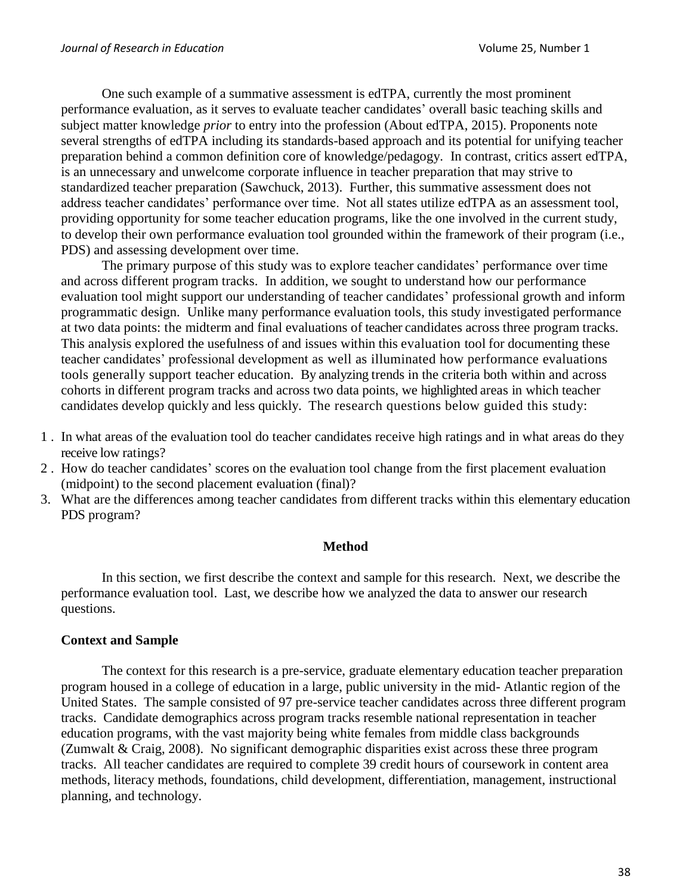One such example of a summative assessment is edTPA, currently the most prominent performance evaluation, as it serves to evaluate teacher candidates' overall basic teaching skills and subject matter knowledge *prior* to entry into the profession (About edTPA, 2015). Proponents note several strengths of edTPA including its standards-based approach and its potential for unifying teacher preparation behind a common definition core of knowledge/pedagogy. In contrast, critics assert edTPA, is an unnecessary and unwelcome corporate influence in teacher preparation that may strive to standardized teacher preparation (Sawchuck, 2013). Further, this summative assessment does not address teacher candidates' performance over time. Not all states utilize edTPA as an assessment tool, providing opportunity for some teacher education programs, like the one involved in the current study, to develop their own performance evaluation tool grounded within the framework of their program (i.e., PDS) and assessing development over time.

The primary purpose of this study was to explore teacher candidates' performance over time and across different program tracks. In addition, we sought to understand how our performance evaluation tool might support our understanding of teacher candidates' professional growth and inform programmatic design. Unlike many performance evaluation tools, this study investigated performance at two data points: the midterm and final evaluations of teacher candidates across three program tracks. This analysis explored the usefulness of and issues within this evaluation tool for documenting these teacher candidates' professional development as well as illuminated how performance evaluations tools generally support teacher education. By analyzing trends in the criteria both within and across cohorts in different program tracks and across two data points, we highlighted areas in which teacher candidates develop quickly and less quickly. The research questions below guided this study:

- 1 . In what areas of the evaluation tool do teacher candidates receive high ratings and in what areas do they receive low ratings?
- 2 . How do teacher candidates' scores on the evaluation tool change from the first placement evaluation (midpoint) to the second placement evaluation (final)?
- 3. What are the differences among teacher candidates from different tracks within this elementary education PDS program?

### **Method**

In this section, we first describe the context and sample for this research. Next, we describe the performance evaluation tool. Last, we describe how we analyzed the data to answer our research questions.

## **Context and Sample**

The context for this research is a pre-service, graduate elementary education teacher preparation program housed in a college of education in a large, public university in the mid- Atlantic region of the United States. The sample consisted of 97 pre-service teacher candidates across three different program tracks. Candidate demographics across program tracks resemble national representation in teacher education programs, with the vast majority being white females from middle class backgrounds (Zumwalt & Craig, 2008). No significant demographic disparities exist across these three program tracks. All teacher candidates are required to complete 39 credit hours of coursework in content area methods, literacy methods, foundations, child development, differentiation, management, instructional planning, and technology.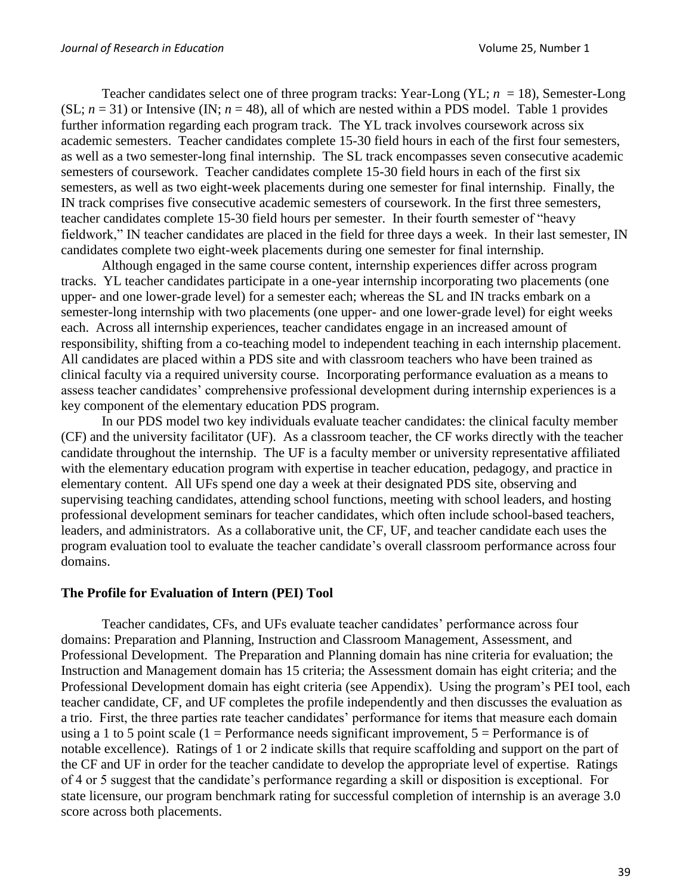Teacher candidates select one of three program tracks: Year-Long (YL; *n* = 18), Semester-Long (SL;  $n = 31$ ) or Intensive (IN;  $n = 48$ ), all of which are nested within a PDS model. Table 1 provides further information regarding each program track. The YL track involves coursework across six academic semesters. Teacher candidates complete 15-30 field hours in each of the first four semesters, as well as a two semester-long final internship. The SL track encompasses seven consecutive academic semesters of coursework. Teacher candidates complete 15-30 field hours in each of the first six semesters, as well as two eight-week placements during one semester for final internship. Finally, the IN track comprises five consecutive academic semesters of coursework. In the first three semesters, teacher candidates complete 15-30 field hours per semester. In their fourth semester of "heavy fieldwork," IN teacher candidates are placed in the field for three days a week. In their last semester, IN candidates complete two eight-week placements during one semester for final internship.

Although engaged in the same course content, internship experiences differ across program tracks. YL teacher candidates participate in a one-year internship incorporating two placements (one upper- and one lower-grade level) for a semester each; whereas the SL and IN tracks embark on a semester-long internship with two placements (one upper- and one lower-grade level) for eight weeks each. Across all internship experiences, teacher candidates engage in an increased amount of responsibility, shifting from a co-teaching model to independent teaching in each internship placement. All candidates are placed within a PDS site and with classroom teachers who have been trained as clinical faculty via a required university course. Incorporating performance evaluation as a means to assess teacher candidates' comprehensive professional development during internship experiences is a key component of the elementary education PDS program.

In our PDS model two key individuals evaluate teacher candidates: the clinical faculty member (CF) and the university facilitator (UF). As a classroom teacher, the CF works directly with the teacher candidate throughout the internship. The UF is a faculty member or university representative affiliated with the elementary education program with expertise in teacher education, pedagogy, and practice in elementary content. All UFs spend one day a week at their designated PDS site, observing and supervising teaching candidates, attending school functions, meeting with school leaders, and hosting professional development seminars for teacher candidates, which often include school-based teachers, leaders, and administrators. As a collaborative unit, the CF, UF, and teacher candidate each uses the program evaluation tool to evaluate the teacher candidate's overall classroom performance across four domains.

### **The Profile for Evaluation of Intern (PEI) Tool**

Teacher candidates, CFs, and UFs evaluate teacher candidates' performance across four domains: Preparation and Planning, Instruction and Classroom Management, Assessment, and Professional Development. The Preparation and Planning domain has nine criteria for evaluation; the Instruction and Management domain has 15 criteria; the Assessment domain has eight criteria; and the Professional Development domain has eight criteria (see Appendix). Using the program's PEI tool, each teacher candidate, CF, and UF completes the profile independently and then discusses the evaluation as a trio. First, the three parties rate teacher candidates' performance for items that measure each domain using a 1 to 5 point scale (1 = Performance needs significant improvement,  $5 =$  Performance is of notable excellence). Ratings of 1 or 2 indicate skills that require scaffolding and support on the part of the CF and UF in order for the teacher candidate to develop the appropriate level of expertise. Ratings of 4 or 5 suggest that the candidate's performance regarding a skill or disposition is exceptional. For state licensure, our program benchmark rating for successful completion of internship is an average 3.0 score across both placements.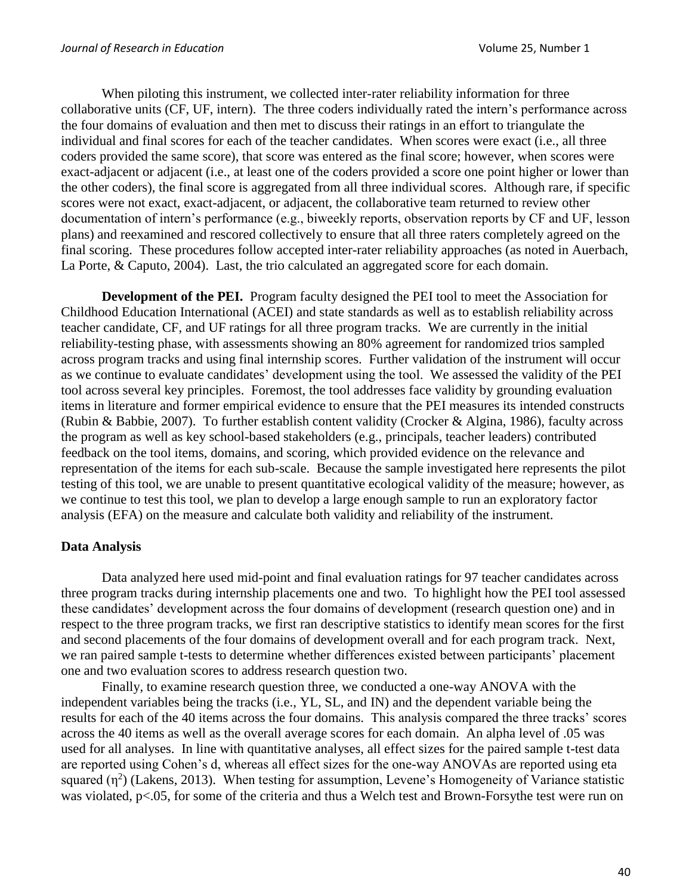When piloting this instrument, we collected inter-rater reliability information for three collaborative units (CF, UF, intern). The three coders individually rated the intern's performance across the four domains of evaluation and then met to discuss their ratings in an effort to triangulate the individual and final scores for each of the teacher candidates. When scores were exact (i.e., all three coders provided the same score), that score was entered as the final score; however, when scores were exact-adjacent or adjacent (i.e., at least one of the coders provided a score one point higher or lower than the other coders), the final score is aggregated from all three individual scores. Although rare, if specific scores were not exact, exact-adjacent, or adjacent, the collaborative team returned to review other documentation of intern's performance (e.g., biweekly reports, observation reports by CF and UF, lesson plans) and reexamined and rescored collectively to ensure that all three raters completely agreed on the final scoring. These procedures follow accepted inter-rater reliability approaches (as noted in Auerbach, La Porte, & Caputo, 2004). Last, the trio calculated an aggregated score for each domain.

**Development of the PEI.** Program faculty designed the PEI tool to meet the Association for Childhood Education International (ACEI) and state standards as well as to establish reliability across teacher candidate, CF, and UF ratings for all three program tracks. We are currently in the initial reliability-testing phase, with assessments showing an 80% agreement for randomized trios sampled across program tracks and using final internship scores. Further validation of the instrument will occur as we continue to evaluate candidates' development using the tool. We assessed the validity of the PEI tool across several key principles. Foremost, the tool addresses face validity by grounding evaluation items in literature and former empirical evidence to ensure that the PEI measures its intended constructs (Rubin & Babbie, 2007). To further establish content validity (Crocker & Algina, 1986), faculty across the program as well as key school-based stakeholders (e.g., principals, teacher leaders) contributed feedback on the tool items, domains, and scoring, which provided evidence on the relevance and representation of the items for each sub-scale. Because the sample investigated here represents the pilot testing of this tool, we are unable to present quantitative ecological validity of the measure; however, as we continue to test this tool, we plan to develop a large enough sample to run an exploratory factor analysis (EFA) on the measure and calculate both validity and reliability of the instrument.

### **Data Analysis**

Data analyzed here used mid-point and final evaluation ratings for 97 teacher candidates across three program tracks during internship placements one and two. To highlight how the PEI tool assessed these candidates' development across the four domains of development (research question one) and in respect to the three program tracks, we first ran descriptive statistics to identify mean scores for the first and second placements of the four domains of development overall and for each program track. Next, we ran paired sample t-tests to determine whether differences existed between participants' placement one and two evaluation scores to address research question two.

Finally, to examine research question three, we conducted a one-way ANOVA with the independent variables being the tracks (i.e., YL, SL, and IN) and the dependent variable being the results for each of the 40 items across the four domains. This analysis compared the three tracks' scores across the 40 items as well as the overall average scores for each domain. An alpha level of .05 was used for all analyses. In line with quantitative analyses, all effect sizes for the paired sample t-test data are reported using Cohen's d, whereas all effect sizes for the one-way ANOVAs are reported using eta squared  $(\eta^2)$  (Lakens, 2013). When testing for assumption, Levene's Homogeneity of Variance statistic was violated, p<.05, for some of the criteria and thus a Welch test and Brown-Forsythe test were run on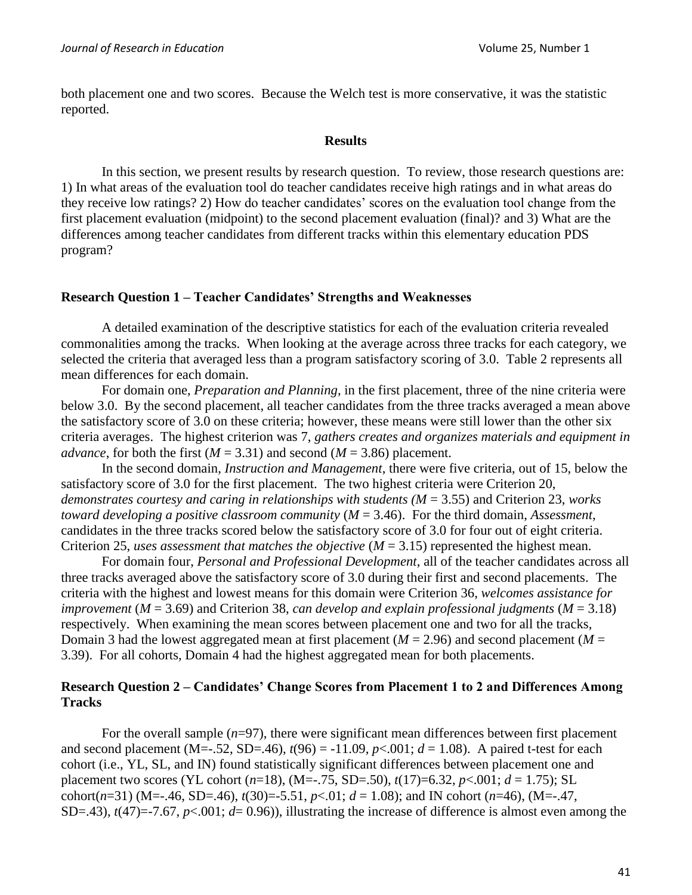both placement one and two scores. Because the Welch test is more conservative, it was the statistic reported.

#### **Results**

In this section, we present results by research question. To review, those research questions are: 1) In what areas of the evaluation tool do teacher candidates receive high ratings and in what areas do they receive low ratings? 2) How do teacher candidates' scores on the evaluation tool change from the first placement evaluation (midpoint) to the second placement evaluation (final)? and 3) What are the differences among teacher candidates from different tracks within this elementary education PDS program?

### **Research Question 1 – Teacher Candidates' Strengths and Weaknesses**

A detailed examination of the descriptive statistics for each of the evaluation criteria revealed commonalities among the tracks. When looking at the average across three tracks for each category, we selected the criteria that averaged less than a program satisfactory scoring of 3.0. Table 2 represents all mean differences for each domain.

For domain one, *Preparation and Planning*, in the first placement, three of the nine criteria were below 3.0. By the second placement, all teacher candidates from the three tracks averaged a mean above the satisfactory score of 3.0 on these criteria; however, these means were still lower than the other six criteria averages. The highest criterion was 7, *gathers creates and organizes materials and equipment in advance*, for both the first ( $M = 3.31$ ) and second ( $M = 3.86$ ) placement.

In the second domain, *Instruction and Management*, there were five criteria, out of 15, below the satisfactory score of 3.0 for the first placement. The two highest criteria were Criterion 20, *demonstrates courtesy and caring in relationships with students (M* = 3.55) and Criterion 23, *works toward developing a positive classroom community* (*M* = 3.46). For the third domain, *Assessment*, candidates in the three tracks scored below the satisfactory score of 3.0 for four out of eight criteria. Criterion 25, *uses assessment that matches the objective* (*M* = 3.15) represented the highest mean.

For domain four, *Personal and Professional Development*, all of the teacher candidates across all three tracks averaged above the satisfactory score of 3.0 during their first and second placements. The criteria with the highest and lowest means for this domain were Criterion 36, *welcomes assistance for improvement* (*M* = 3.69) and Criterion 38, *can develop and explain professional judgments* (*M* = 3.18) respectively. When examining the mean scores between placement one and two for all the tracks, Domain 3 had the lowest aggregated mean at first placement ( $M = 2.96$ ) and second placement ( $M =$ 3.39). For all cohorts, Domain 4 had the highest aggregated mean for both placements.

## **Research Question 2 – Candidates' Change Scores from Placement 1 to 2 and Differences Among Tracks**

For the overall sample  $(n=97)$ , there were significant mean differences between first placement and second placement (M=-.52, SD=.46),  $t(96) = -11.09$ ,  $p<.001$ ;  $d = 1.08$ ). A paired t-test for each cohort (i.e., YL, SL, and IN) found statistically significant differences between placement one and placement two scores (YL cohort (*n*=18), (M=-.75, SD=.50), *t*(17)=6.32, *p*<.001; *d* = 1.75); SL cohort( $n=31$ ) (M=-.46, SD=.46),  $t(30)=-5.51$ ,  $p<.01$ ;  $d = 1.08$ ); and IN cohort ( $n=46$ ), (M=-.47, SD=.43),  $t(47)$ =-7.67,  $p<.001$ ;  $d= 0.96$ )), illustrating the increase of difference is almost even among the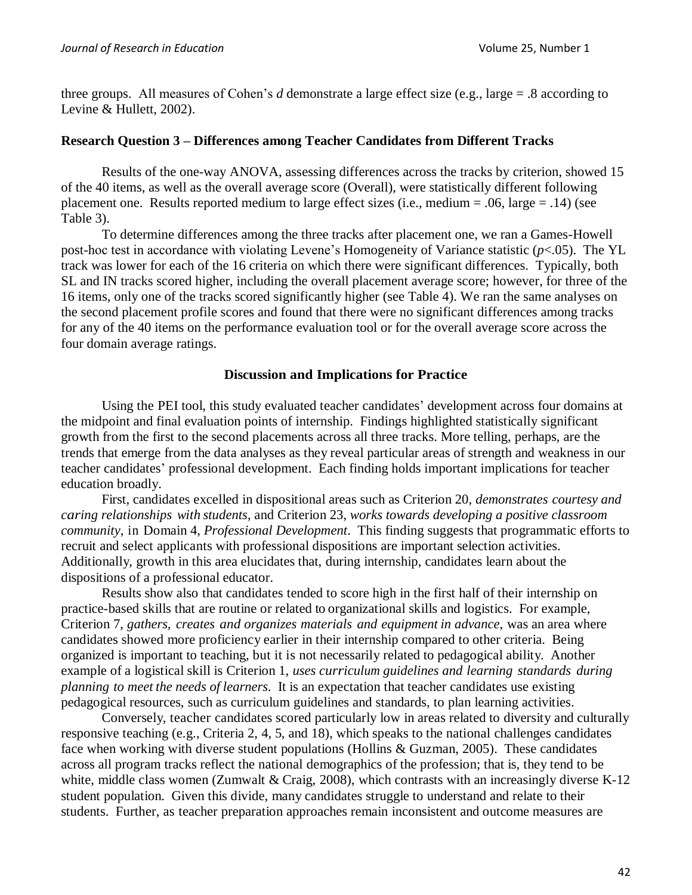three groups. All measures of Cohen's *d* demonstrate a large effect size (e.g., large = .8 according to Levine & Hullett, 2002).

### **Research Question 3 – Differences among Teacher Candidates from Different Tracks**

Results of the one-way ANOVA, assessing differences across the tracks by criterion, showed 15 of the 40 items, as well as the overall average score (Overall), were statistically different following placement one. Results reported medium to large effect sizes (i.e., medium = .06, large = .14) (see Table 3).

To determine differences among the three tracks after placement one, we ran a Games-Howell post-hoc test in accordance with violating Levene's Homogeneity of Variance statistic (*p*<.05). The YL track was lower for each of the 16 criteria on which there were significant differences. Typically, both SL and IN tracks scored higher, including the overall placement average score; however, for three of the 16 items, only one of the tracks scored significantly higher (see Table 4). We ran the same analyses on the second placement profile scores and found that there were no significant differences among tracks for any of the 40 items on the performance evaluation tool or for the overall average score across the four domain average ratings.

### **Discussion and Implications for Practice**

Using the PEI tool, this study evaluated teacher candidates' development across four domains at the midpoint and final evaluation points of internship. Findings highlighted statistically significant growth from the first to the second placements across all three tracks. More telling, perhaps, are the trends that emerge from the data analyses as they reveal particular areas of strength and weakness in our teacher candidates' professional development. Each finding holds important implications for teacher education broadly.

First, candidates excelled in dispositional areas such as Criterion 20, *demonstrates courtesy and caring relationships with students*, and Criterion 23, *works towards developing a positive classroom community*, in Domain 4, *Professional Development*. This finding suggests that programmatic efforts to recruit and select applicants with professional dispositions are important selection activities. Additionally, growth in this area elucidates that, during internship, candidates learn about the dispositions of a professional educator.

Results show also that candidates tended to score high in the first half of their internship on practice-based skills that are routine or related to organizational skills and logistics. For example, Criterion 7, *gathers, creates and organizes materials and equipment in advance*, was an area where candidates showed more proficiency earlier in their internship compared to other criteria. Being organized is important to teaching, but it is not necessarily related to pedagogical ability. Another example of a logistical skill is Criterion 1, *uses curriculum guidelines and learning standards during planning to meet the needs of learners*. It is an expectation that teacher candidates use existing pedagogical resources, such as curriculum guidelines and standards, to plan learning activities.

Conversely, teacher candidates scored particularly low in areas related to diversity and culturally responsive teaching (e.g., Criteria 2, 4, 5, and 18), which speaks to the national challenges candidates face when working with diverse student populations (Hollins & Guzman, 2005). These candidates across all program tracks reflect the national demographics of the profession; that is, they tend to be white, middle class women (Zumwalt & Craig, 2008), which contrasts with an increasingly diverse K-12 student population. Given this divide, many candidates struggle to understand and relate to their students. Further, as teacher preparation approaches remain inconsistent and outcome measures are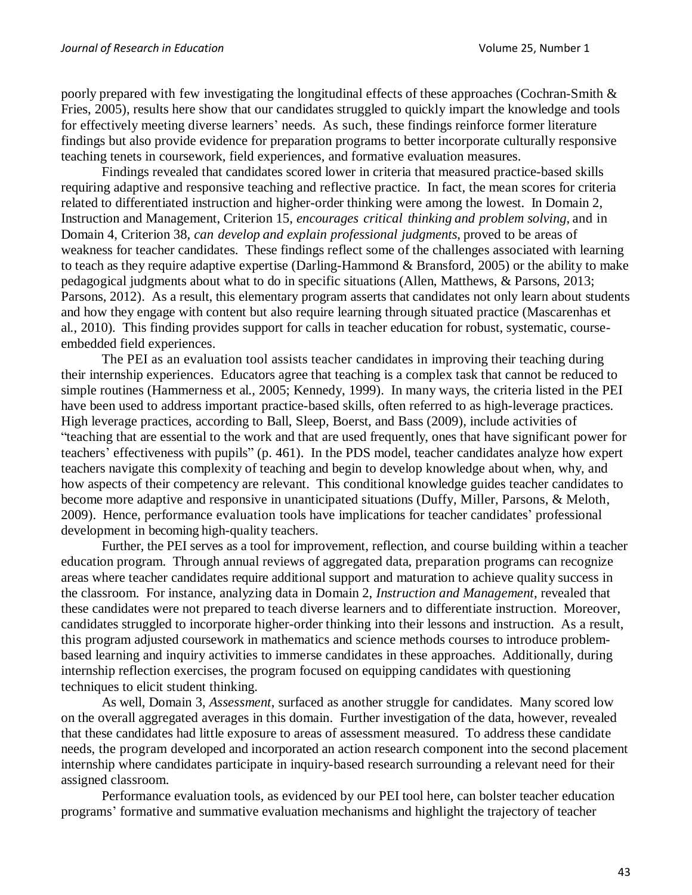poorly prepared with few investigating the longitudinal effects of these approaches (Cochran-Smith & Fries, 2005), results here show that our candidates struggled to quickly impart the knowledge and tools for effectively meeting diverse learners' needs. As such, these findings reinforce former literature findings but also provide evidence for preparation programs to better incorporate culturally responsive teaching tenets in coursework, field experiences, and formative evaluation measures.

Findings revealed that candidates scored lower in criteria that measured practice-based skills requiring adaptive and responsive teaching and reflective practice. In fact, the mean scores for criteria related to differentiated instruction and higher-order thinking were among the lowest. In Domain 2, Instruction and Management, Criterion 15, *encourages critical thinking and problem solving*, and in Domain 4, Criterion 38, *can develop and explain professional judgments*, proved to be areas of weakness for teacher candidates. These findings reflect some of the challenges associated with learning to teach as they require adaptive expertise (Darling-Hammond & Bransford, 2005) or the ability to make pedagogical judgments about what to do in specific situations (Allen, Matthews, & Parsons, 2013; Parsons, 2012). As a result, this elementary program asserts that candidates not only learn about students and how they engage with content but also require learning through situated practice (Mascarenhas et al., 2010). This finding provides support for calls in teacher education for robust, systematic, courseembedded field experiences.

The PEI as an evaluation tool assists teacher candidates in improving their teaching during their internship experiences. Educators agree that teaching is a complex task that cannot be reduced to simple routines (Hammerness et al., 2005; Kennedy, 1999). In many ways, the criteria listed in the PEI have been used to address important practice-based skills, often referred to as high-leverage practices. High leverage practices, according to Ball, Sleep, Boerst, and Bass (2009), include activities of "teaching that are essential to the work and that are used frequently, ones that have significant power for teachers' effectiveness with pupils" (p. 461). In the PDS model, teacher candidates analyze how expert teachers navigate this complexity of teaching and begin to develop knowledge about when, why, and how aspects of their competency are relevant. This conditional knowledge guides teacher candidates to become more adaptive and responsive in unanticipated situations (Duffy, Miller, Parsons, & Meloth, 2009). Hence, performance evaluation tools have implications for teacher candidates' professional development in becoming high-quality teachers.

Further, the PEI serves as a tool for improvement, reflection, and course building within a teacher education program. Through annual reviews of aggregated data, preparation programs can recognize areas where teacher candidates require additional support and maturation to achieve quality success in the classroom. For instance, analyzing data in Domain 2, *Instruction and Management*, revealed that these candidates were not prepared to teach diverse learners and to differentiate instruction. Moreover, candidates struggled to incorporate higher-order thinking into their lessons and instruction. As a result, this program adjusted coursework in mathematics and science methods courses to introduce problembased learning and inquiry activities to immerse candidates in these approaches. Additionally, during internship reflection exercises, the program focused on equipping candidates with questioning techniques to elicit student thinking.

As well, Domain 3, *Assessment*, surfaced as another struggle for candidates. Many scored low on the overall aggregated averages in this domain. Further investigation of the data, however, revealed that these candidates had little exposure to areas of assessment measured. To address these candidate needs, the program developed and incorporated an action research component into the second placement internship where candidates participate in inquiry-based research surrounding a relevant need for their assigned classroom.

Performance evaluation tools, as evidenced by our PEI tool here, can bolster teacher education programs' formative and summative evaluation mechanisms and highlight the trajectory of teacher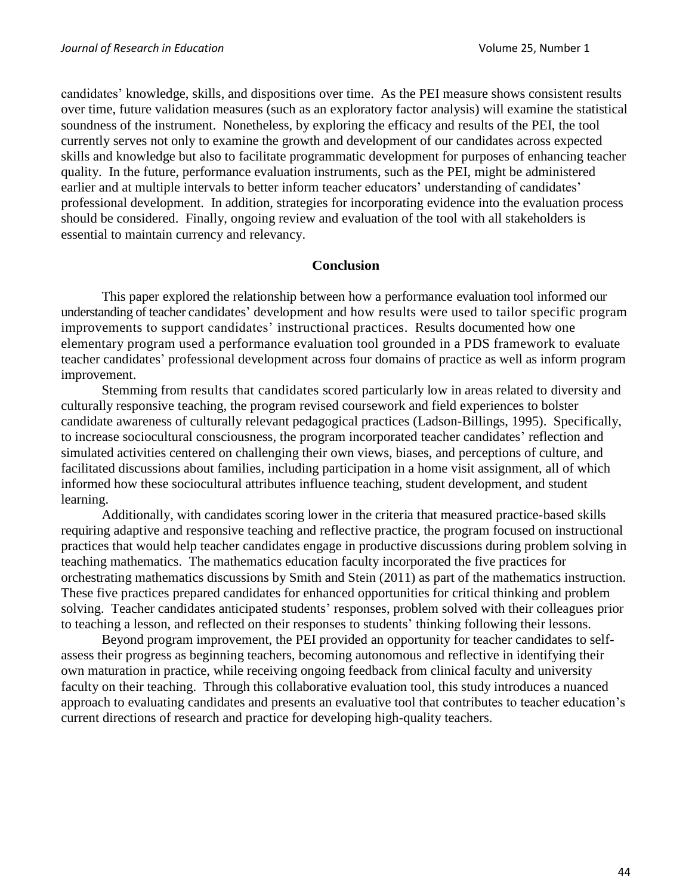candidates' knowledge, skills, and dispositions over time. As the PEI measure shows consistent results over time, future validation measures (such as an exploratory factor analysis) will examine the statistical soundness of the instrument. Nonetheless, by exploring the efficacy and results of the PEI, the tool currently serves not only to examine the growth and development of our candidates across expected skills and knowledge but also to facilitate programmatic development for purposes of enhancing teacher quality. In the future, performance evaluation instruments, such as the PEI, might be administered earlier and at multiple intervals to better inform teacher educators' understanding of candidates' professional development. In addition, strategies for incorporating evidence into the evaluation process should be considered. Finally, ongoing review and evaluation of the tool with all stakeholders is essential to maintain currency and relevancy.

#### **Conclusion**

This paper explored the relationship between how a performance evaluation tool informed our understanding of teacher candidates' development and how results were used to tailor specific program improvements to support candidates' instructional practices. Results documented how one elementary program used a performance evaluation tool grounded in a PDS framework to evaluate teacher candidates' professional development across four domains of practice as well as inform program improvement.

Stemming from results that candidates scored particularly low in areas related to diversity and culturally responsive teaching, the program revised coursework and field experiences to bolster candidate awareness of culturally relevant pedagogical practices (Ladson-Billings, 1995). Specifically, to increase sociocultural consciousness, the program incorporated teacher candidates' reflection and simulated activities centered on challenging their own views, biases, and perceptions of culture, and facilitated discussions about families, including participation in a home visit assignment, all of which informed how these sociocultural attributes influence teaching, student development, and student learning.

Additionally, with candidates scoring lower in the criteria that measured practice-based skills requiring adaptive and responsive teaching and reflective practice, the program focused on instructional practices that would help teacher candidates engage in productive discussions during problem solving in teaching mathematics. The mathematics education faculty incorporated the five practices for orchestrating mathematics discussions by Smith and Stein (2011) as part of the mathematics instruction. These five practices prepared candidates for enhanced opportunities for critical thinking and problem solving. Teacher candidates anticipated students' responses, problem solved with their colleagues prior to teaching a lesson, and reflected on their responses to students' thinking following their lessons.

Beyond program improvement, the PEI provided an opportunity for teacher candidates to selfassess their progress as beginning teachers, becoming autonomous and reflective in identifying their own maturation in practice, while receiving ongoing feedback from clinical faculty and university faculty on their teaching. Through this collaborative evaluation tool, this study introduces a nuanced approach to evaluating candidates and presents an evaluative tool that contributes to teacher education's current directions of research and practice for developing high-quality teachers.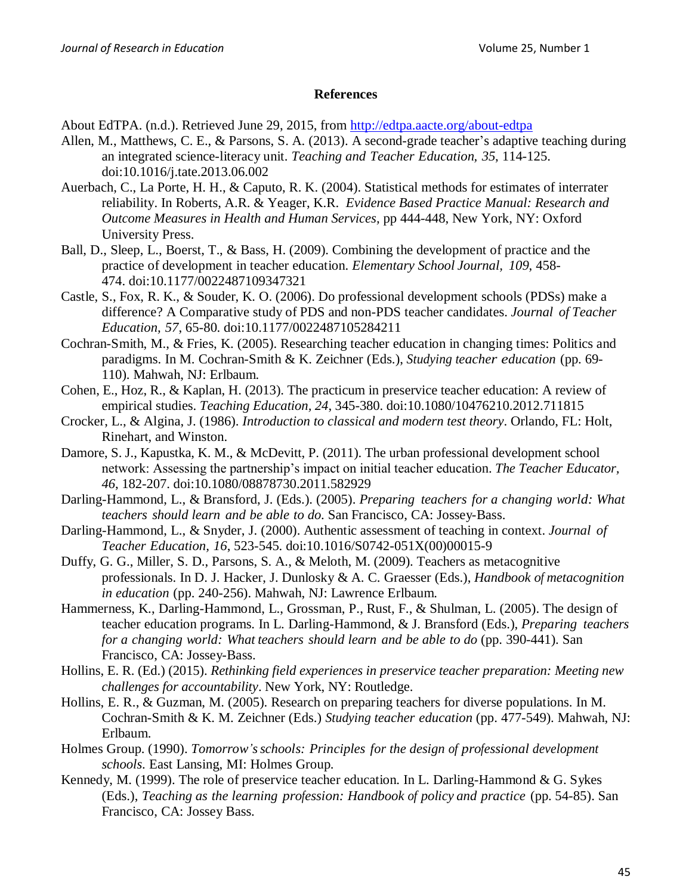### **References**

About EdTPA. (n.d.). Retrieved June 29, 2015, from<http://edtpa.aacte.org/about-edtpa>

- Allen, M., Matthews, C. E., & Parsons, S. A. (2013). A second-grade teacher's adaptive teaching during an integrated science-literacy unit. *Teaching and Teacher Education, 35*, 114-125. doi:10.1016/j.tate.2013.06.002
- Auerbach, C., La Porte, H. H., & Caputo, R. K. (2004). Statistical methods for estimates of interrater reliability. In Roberts, A.R. & Yeager, K.R. *Evidence Based Practice Manual: Research and Outcome Measures in Health and Human Services,* pp 444-448, New York, NY: Oxford University Press.
- Ball, D., Sleep, L., Boerst, T., & Bass, H. (2009). Combining the development of practice and the practice of development in teacher education. *Elementary School Journal, 109*, 458- 474. doi:10.1177/0022487109347321
- Castle, S., Fox, R. K., & Souder, K. O. (2006). Do professional development schools (PDSs) make a difference? A Comparative study of PDS and non-PDS teacher candidates. *Journal of Teacher Education, 57*, 65-80. doi:10.1177/0022487105284211
- Cochran-Smith, M., & Fries, K. (2005). Researching teacher education in changing times: Politics and paradigms. In M. Cochran-Smith & K. Zeichner (Eds.), *Studying teacher education* (pp. 69- 110). Mahwah, NJ: Erlbaum.
- Cohen, E., Hoz, R., & Kaplan, H. (2013). The practicum in preservice teacher education: A review of empirical studies. *Teaching Education, 24*, 345-380. doi:10.1080/10476210.2012.711815
- Crocker, L., & Algina, J. (1986). *Introduction to classical and modern test theory*. Orlando, FL: Holt, Rinehart, and Winston.
- Damore, S. J., Kapustka, K. M., & McDevitt, P. (2011). The urban professional development school network: Assessing the partnership's impact on initial teacher education. *The Teacher Educator, 46*, 182-207. doi:10.1080/08878730.2011.582929
- Darling-Hammond, L., & Bransford, J. (Eds.). (2005). *Preparing teachers for a changing world: What teachers should learn and be able to do*. San Francisco, CA: Jossey-Bass.
- Darling-Hammond, L., & Snyder, J. (2000). Authentic assessment of teaching in context. *Journal of Teacher Education, 16*, 523-545. doi:10.1016/S0742-051X(00)00015-9
- Duffy, G. G., Miller, S. D., Parsons, S. A., & Meloth, M. (2009). Teachers as metacognitive professionals. In D. J. Hacker, J. Dunlosky & A. C. Graesser (Eds.), *Handbook of metacognition in education* (pp. 240-256). Mahwah, NJ: Lawrence Erlbaum.
- Hammerness, K., Darling-Hammond, L., Grossman, P., Rust, F., & Shulman, L. (2005). The design of teacher education programs. In L. Darling-Hammond, & J. Bransford (Eds.), *Preparing teachers for a changing world: What teachers should learn and be able to do* (pp. 390-441). San Francisco, CA: Jossey-Bass.
- Hollins, E. R. (Ed.) (2015). *Rethinking field experiences in preservice teacher preparation: Meeting new challenges for accountability*. New York, NY: Routledge.
- Hollins, E. R., & Guzman, M. (2005). Research on preparing teachers for diverse populations. In M. Cochran-Smith & K. M. Zeichner (Eds.) *Studying teacher education* (pp. 477-549). Mahwah, NJ: Erlbaum.
- Holmes Group. (1990). *Tomorrow'sschools: Principles for the design of professional development schools*. East Lansing, MI: Holmes Group.
- Kennedy, M. (1999). The role of preservice teacher education. In L. Darling-Hammond & G. Sykes (Eds.), *Teaching as the learning profession: Handbook of policy and practice* (pp. 54-85). San Francisco, CA: Jossey Bass.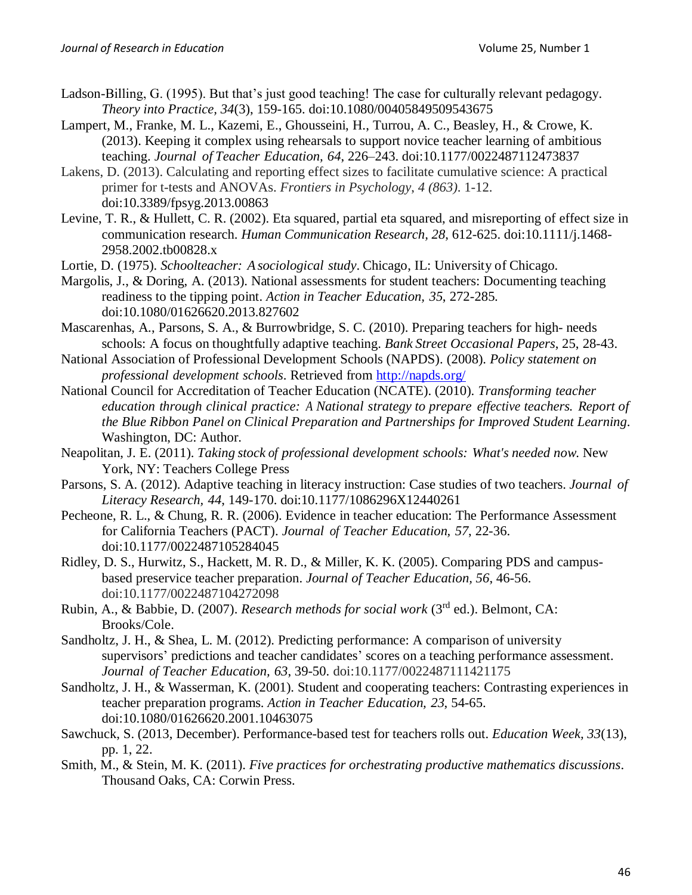- Ladson-Billing, G. (1995). But that's just good teaching! The case for culturally relevant pedagogy. *Theory into Practice, 34*(3), 159-165. doi:10.1080/00405849509543675
- Lampert, M., Franke, M. L., Kazemi, E., Ghousseini, H., Turrou, A. C., Beasley, H., & Crowe, K. (2013). Keeping it complex using rehearsals to support novice teacher learning of ambitious teaching. *Journal of Teacher Education, 64*, 226–243. doi:10.1177/0022487112473837
- Lakens, D. (2013). Calculating and reporting effect sizes to facilitate cumulative science: A practical primer for t-tests and ANOVAs. *Frontiers in Psychology*, *4 (863)*. 1-12. doi:10.3389/fpsyg.2013.00863
- Levine, T. R., & Hullett, C. R. (2002). Eta squared, partial eta squared, and misreporting of effect size in communication research. *Human Communication Research, 28*, 612-625. doi:10.1111/j.1468- 2958.2002.tb00828.x
- Lortie, D. (1975). *Schoolteacher: Asociological study*. Chicago, IL: University of Chicago.
- Margolis, J., & Doring, A. (2013). National assessments for student teachers: Documenting teaching readiness to the tipping point. *Action in Teacher Education, 35*, 272-285. doi:10.1080/01626620.2013.827602
- Mascarenhas, A., Parsons, S. A., & Burrowbridge, S. C. (2010). Preparing teachers for high- needs schools: A focus on thoughtfully adaptive teaching. *Bank Street Occasional Papers*, 25, 28-43.
- National Association of Professional Development Schools (NAPDS). (2008). *Policy statement on professional development schools*. Retrieved from<http://napds.org/>
- National Council for Accreditation of Teacher Education (NCATE). (2010). *Transforming teacher education through clinical practice: A National strategy to prepare effective teachers. Report of the Blue Ribbon Panel on Clinical Preparation and Partnerships for Improved Student Learning*. Washington, DC: Author.
- Neapolitan, J. E. (2011). *Taking stock of professional development schools: What's needed now*. New York, NY: Teachers College Press
- Parsons, S. A. (2012). Adaptive teaching in literacy instruction: Case studies of two teachers. *Journal of Literacy Research, 44*, 149-170. doi:10.1177/1086296X12440261
- Pecheone, R. L., & Chung, R. R. (2006). Evidence in teacher education: The Performance Assessment for California Teachers (PACT). *Journal of Teacher Education, 57*, 22-36. doi:10.1177/0022487105284045
- Ridley, D. S., Hurwitz, S., Hackett, M. R. D., & Miller, K. K. (2005). Comparing PDS and campusbased preservice teacher preparation. *Journal of Teacher Education, 56*, 46-56. doi:10.1177/0022487104272098
- Rubin, A., & Babbie, D. (2007). *Research methods for social work* (3rd ed.). Belmont, CA: Brooks/Cole.
- Sandholtz, J. H., & Shea, L. M. (2012). Predicting performance: A comparison of university supervisors' predictions and teacher candidates' scores on a teaching performance assessment. *Journal of Teacher Education, 63*, 39-50. doi:10.1177/0022487111421175
- Sandholtz, J. H., & Wasserman, K. (2001). Student and cooperating teachers: Contrasting experiences in teacher preparation programs. *Action in Teacher Education, 23*, 54-65. doi:10.1080/01626620.2001.10463075
- Sawchuck, S. (2013, December). Performance-based test for teachers rolls out. *Education Week, 33*(13), pp. 1, 22.
- Smith, M., & Stein, M. K. (2011). *Five practices for orchestrating productive mathematics discussions*. Thousand Oaks, CA: Corwin Press.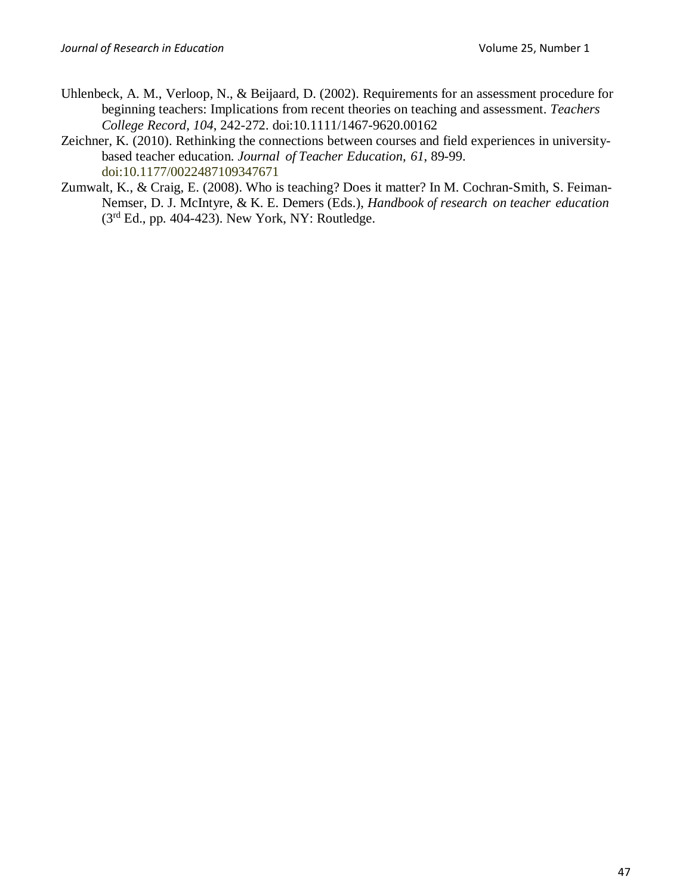- Uhlenbeck, A. M., Verloop, N., & Beijaard, D. (2002). Requirements for an assessment procedure for beginning teachers: Implications from recent theories on teaching and assessment. *Teachers College Record, 104*, 242-272. doi:10.1111/1467-9620.00162
- Zeichner, K. (2010). Rethinking the connections between courses and field experiences in universitybased teacher education. *Journal of Teacher Education, 61*, 89-99. doi:10.1177/0022487109347671
- Zumwalt, K., & Craig, E. (2008). Who is teaching? Does it matter? In M. Cochran-Smith, S. Feiman-Nemser, D. J. McIntyre, & K. E. Demers (Eds.), *Handbook of research on teacher education*  $(3<sup>rd</sup> Ed., pp. 404-423)$ . New York, NY: Routledge.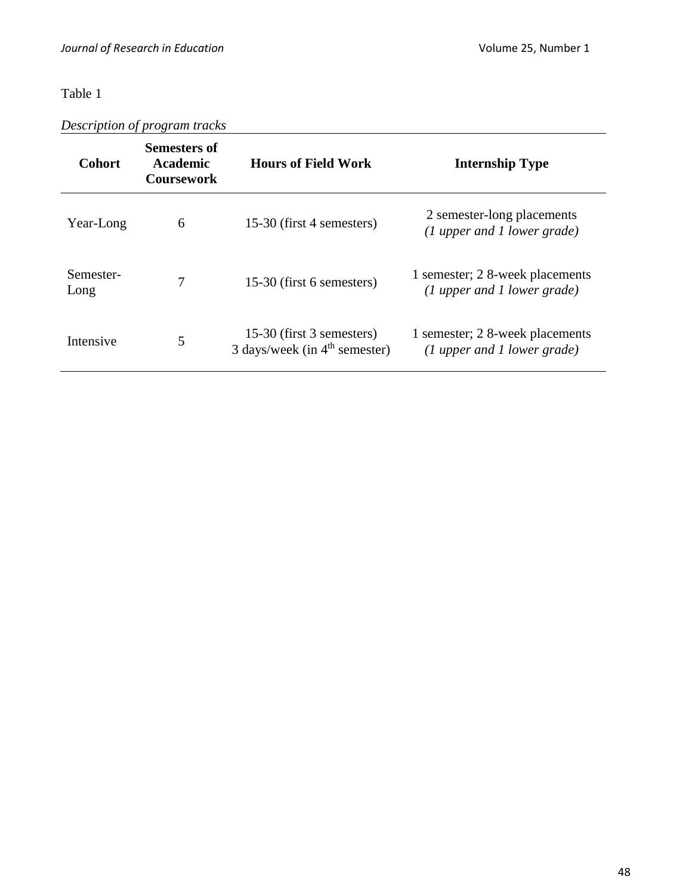*Description of program tracks*

| <b>Cohort</b>     | Semesters of<br><b>Academic</b><br><b>Coursework</b> | <b>Hours of Field Work</b>                                   | <b>Internship Type</b>                                           |
|-------------------|------------------------------------------------------|--------------------------------------------------------------|------------------------------------------------------------------|
| Year-Long         | 6                                                    | 15-30 (first 4 semesters)                                    | 2 semester-long placements<br>$(1$ upper and 1 lower grade)      |
| Semester-<br>Long | 7                                                    | 15-30 (first 6 semesters)                                    | 1 semester; 2 8-week placements<br>$(1$ upper and 1 lower grade) |
| Intensive         | 5                                                    | 15-30 (first 3 semesters)<br>3 days/week (in $4th$ semester) | 1 semester; 2 8-week placements<br>$(1$ upper and 1 lower grade) |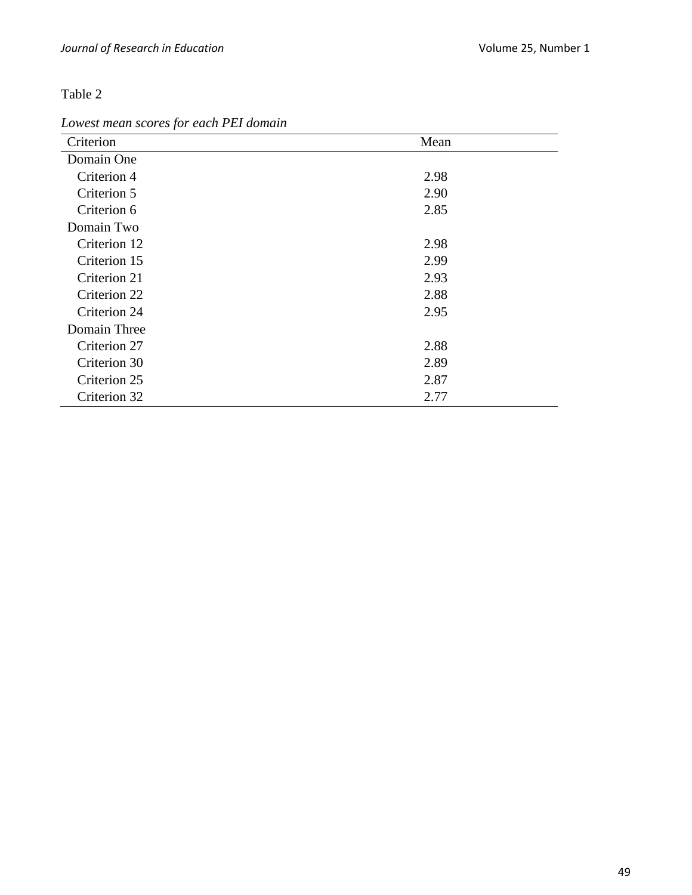*Lowest mean scores for each PEI domain*

| Criterion    | Mean |
|--------------|------|
| Domain One   |      |
| Criterion 4  | 2.98 |
| Criterion 5  | 2.90 |
| Criterion 6  | 2.85 |
| Domain Two   |      |
| Criterion 12 | 2.98 |
| Criterion 15 | 2.99 |
| Criterion 21 | 2.93 |
| Criterion 22 | 2.88 |
| Criterion 24 | 2.95 |
| Domain Three |      |
| Criterion 27 | 2.88 |
| Criterion 30 | 2.89 |
| Criterion 25 | 2.87 |
| Criterion 32 | 2.77 |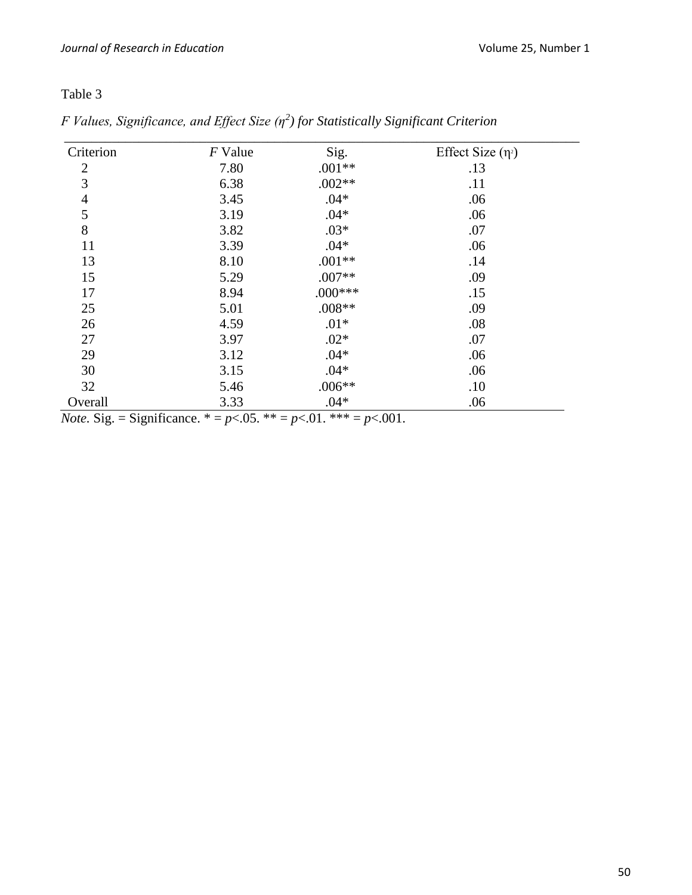| Criterion      | F Value | Sig.      | Effect Size $(\eta^2)$ |
|----------------|---------|-----------|------------------------|
| $\overline{2}$ | 7.80    | $.001**$  | .13                    |
| 3              | 6.38    | $.002**$  | .11                    |
| $\overline{4}$ | 3.45    | $.04*$    | .06                    |
| 5              | 3.19    | $.04*$    | .06                    |
| 8              | 3.82    | $.03*$    | .07                    |
| 11             | 3.39    | $.04*$    | .06                    |
| 13             | 8.10    | $.001**$  | .14                    |
| 15             | 5.29    | $.007**$  | .09                    |
| 17             | 8.94    | $.000***$ | .15                    |
| 25             | 5.01    | $.008**$  | .09                    |
| 26             | 4.59    | $.01*$    | .08                    |
| 27             | 3.97    | $.02*$    | .07                    |
| 29             | 3.12    | $.04*$    | .06                    |
| 30             | 3.15    | $.04*$    | .06                    |
| 32             | 5.46    | $.006**$  | .10                    |
| Overall        | 3.33    | $.04*$    | .06                    |

*F Values, Significance, and Effect Size (η<sup>2</sup> ) for Statistically Significant Criterion*

*Note.* Sig. = Significance. \* =  $p$ <.05. \*\* =  $p$ <.01. \*\*\* =  $p$ <.001.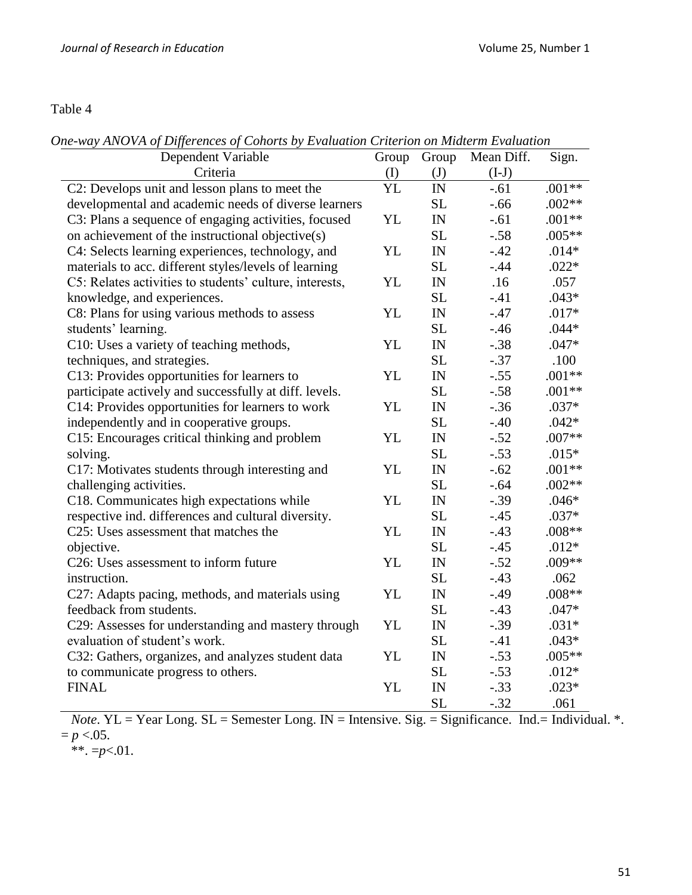*One-way ANOVA of Differences of Cohorts by Evaluation Criterion on Midterm Evaluation*

| Dependent Variable                                      | Group     | Group                                   | Mean Diff. | Sign.    |
|---------------------------------------------------------|-----------|-----------------------------------------|------------|----------|
| Criteria                                                | (I)       | $\mathrm{J}$                            | $(I-J)$    |          |
| C2: Develops unit and lesson plans to meet the          | YL        | IN                                      | $-.61$     | $.001**$ |
| developmental and academic needs of diverse learners    |           | <b>SL</b>                               | $-.66$     | $.002**$ |
| C3: Plans a sequence of engaging activities, focused    | YL        | $\ensuremath{\text{IN}}$                | $-.61$     | $.001**$ |
| on achievement of the instructional objective(s)        |           | <b>SL</b>                               | $-.58$     | $.005**$ |
| C4: Selects learning experiences, technology, and       | YL        | ${\rm IN}$                              | $-42$      | $.014*$  |
| materials to acc. different styles/levels of learning   |           | <b>SL</b>                               | $-0.44$    | $.022*$  |
| C5: Relates activities to students' culture, interests, | YL        | IN                                      | .16        | .057     |
| knowledge, and experiences.                             |           | <b>SL</b>                               | $-41$      | $.043*$  |
| C8: Plans for using various methods to assess           | YL        | IN                                      | $-47$      | $.017*$  |
| students' learning.                                     |           | <b>SL</b>                               | $-46$      | $.044*$  |
| C10: Uses a variety of teaching methods,                | YL        | $\ensuremath{\text{IN}}$                | $-.38$     | $.047*$  |
| techniques, and strategies.                             |           | <b>SL</b>                               | $-.37$     | .100     |
| C13: Provides opportunities for learners to             | YL        | $\ensuremath{\text{IN}}$                | $-.55$     | $.001**$ |
| participate actively and successfully at diff. levels.  |           | <b>SL</b>                               | $-.58$     | $.001**$ |
| C14: Provides opportunities for learners to work        | YL        | $\ensuremath{\text{IN}}$                | $-.36$     | $.037*$  |
| independently and in cooperative groups.                |           | <b>SL</b>                               | $-.40$     | $.042*$  |
| C15: Encourages critical thinking and problem           | YL        | IN                                      | $-.52$     | $.007**$ |
| solving.                                                |           | <b>SL</b>                               | $-.53$     | $.015*$  |
| C17: Motivates students through interesting and         | <b>YL</b> | IN                                      | $-.62$     | $.001**$ |
| challenging activities.                                 |           | <b>SL</b>                               | $-.64$     | $.002**$ |
| C18. Communicates high expectations while               | YL        | IN                                      | $-.39$     | $.046*$  |
| respective ind. differences and cultural diversity.     |           | <b>SL</b>                               | $-.45$     | $.037*$  |
| C25: Uses assessment that matches the                   | YL        | IN                                      | $-43$      | $.008**$ |
| objective.                                              |           | <b>SL</b>                               | $-.45$     | $.012*$  |
| C26: Uses assessment to inform future                   | YL        | $\ensuremath{\mathop{\rm IN}\nolimits}$ | $-.52$     | .009**   |
| instruction.                                            |           | <b>SL</b>                               | $-43$      | .062     |
| C27: Adapts pacing, methods, and materials using        | YL        | $\ensuremath{\text{IN}}$                | $-0.49$    | $.008**$ |
| feedback from students.                                 |           | <b>SL</b>                               | $-.43$     | $.047*$  |
| C29: Assesses for understanding and mastery through     | YL        | $\ensuremath{\text{IN}}$                | $-.39$     | $.031*$  |
| evaluation of student's work.                           |           | <b>SL</b>                               | $-.41$     | $.043*$  |
| C32: Gathers, organizes, and analyzes student data      | YL        | ${\rm IN}$                              | $-.53$     | $.005**$ |
| to communicate progress to others.                      |           | <b>SL</b>                               | $-.53$     | $.012*$  |
| <b>FINAL</b>                                            | <b>YL</b> | IN                                      | $-.33$     | $.023*$  |
|                                                         |           | <b>SL</b>                               | $-.32$     | .061     |

*Note*. YL = Year Long. SL = Semester Long. IN = Intensive. Sig. = Significance. Ind. = Individual. \*.  $= p < .05$ .

 $*$ \*\*. = $p$ <.01.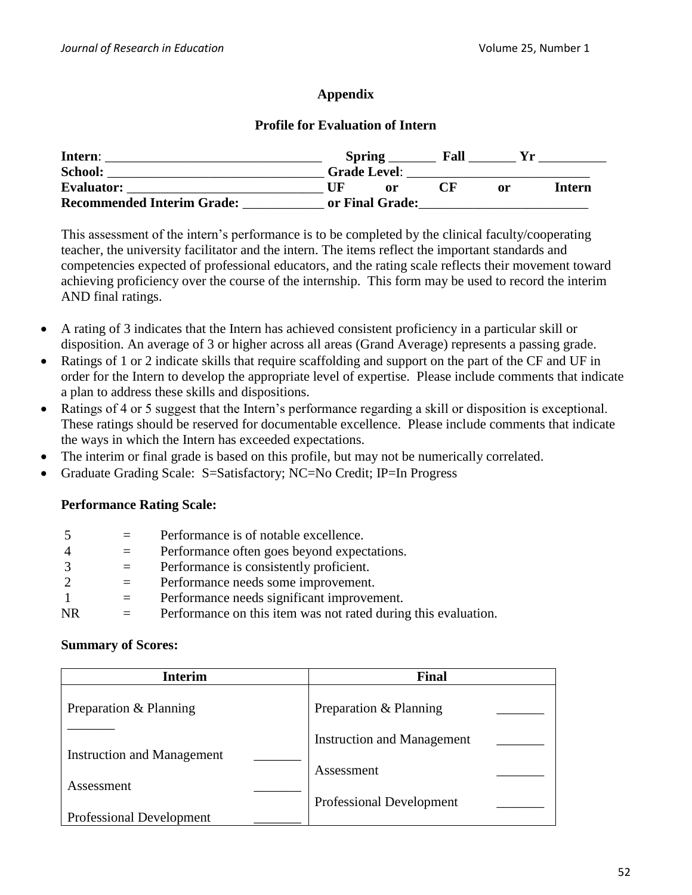## **Appendix**

## **Profile for Evaluation of Intern**

| Intern:                           | <b>Spring</b>       | Fall |    |        |
|-----------------------------------|---------------------|------|----|--------|
| <b>School:</b>                    | <b>Grade Level:</b> |      |    |        |
| <b>Evaluator:</b>                 | nr                  |      | or | Intern |
| <b>Recommended Interim Grade:</b> | or Final Grade:     |      |    |        |

This assessment of the intern's performance is to be completed by the clinical faculty/cooperating teacher, the university facilitator and the intern. The items reflect the important standards and competencies expected of professional educators, and the rating scale reflects their movement toward achieving proficiency over the course of the internship. This form may be used to record the interim AND final ratings.

- A rating of 3 indicates that the Intern has achieved consistent proficiency in a particular skill or disposition. An average of 3 or higher across all areas (Grand Average) represents a passing grade.
- Ratings of 1 or 2 indicate skills that require scaffolding and support on the part of the CF and UF in order for the Intern to develop the appropriate level of expertise. Please include comments that indicate a plan to address these skills and dispositions.
- Ratings of 4 or 5 suggest that the Intern's performance regarding a skill or disposition is exceptional. These ratings should be reserved for documentable excellence. Please include comments that indicate the ways in which the Intern has exceeded expectations.
- The interim or final grade is based on this profile, but may not be numerically correlated.
- Graduate Grading Scale: S=Satisfactory; NC=No Credit; IP=In Progress

## **Performance Rating Scale:**

|     |     | Performance is of notable excellence.                          |
|-----|-----|----------------------------------------------------------------|
|     | $=$ | Performance often goes beyond expectations.                    |
|     |     | Performance is consistently proficient.                        |
|     | $=$ | Performance needs some improvement.                            |
|     | $=$ | Performance needs significant improvement.                     |
| NR. |     | Performance on this item was not rated during this evaluation. |

### **Summary of Scores:**

| <b>Interim</b>                    | <b>Final</b>                      |
|-----------------------------------|-----------------------------------|
| Preparation & Planning            | Preparation & Planning            |
| <b>Instruction and Management</b> | <b>Instruction and Management</b> |
| Assessment                        | Assessment                        |
| Professional Development          | <b>Professional Development</b>   |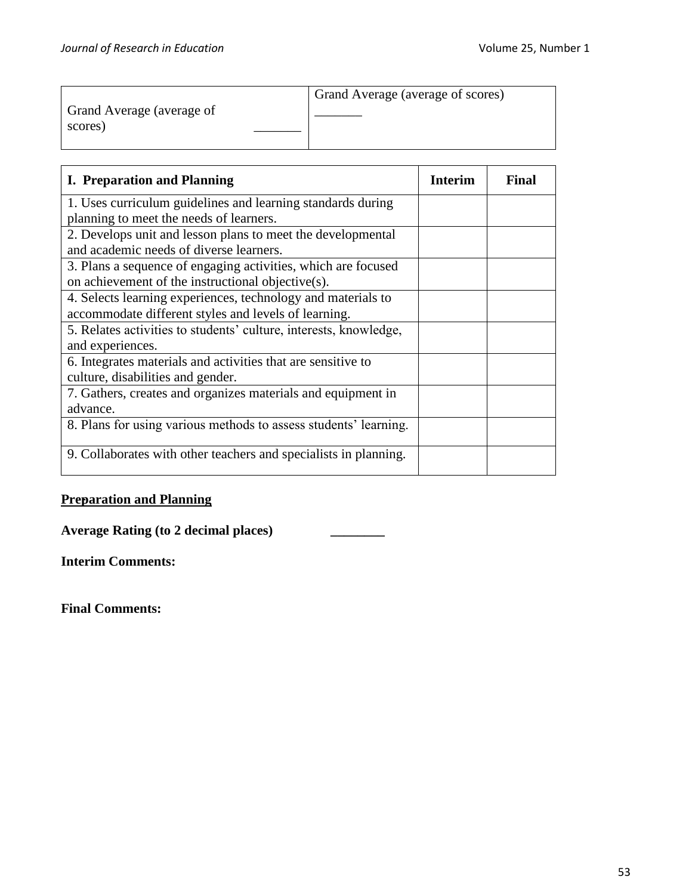|                           | Grand Average (average of scores) |
|---------------------------|-----------------------------------|
| Grand Average (average of |                                   |
| scores)                   |                                   |
|                           |                                   |
|                           |                                   |

| <b>I. Preparation and Planning</b>                                | <b>Interim</b> | Final |
|-------------------------------------------------------------------|----------------|-------|
| 1. Uses curriculum guidelines and learning standards during       |                |       |
| planning to meet the needs of learners.                           |                |       |
| 2. Develops unit and lesson plans to meet the developmental       |                |       |
| and academic needs of diverse learners.                           |                |       |
| 3. Plans a sequence of engaging activities, which are focused     |                |       |
| on achievement of the instructional objective(s).                 |                |       |
| 4. Selects learning experiences, technology and materials to      |                |       |
| accommodate different styles and levels of learning.              |                |       |
| 5. Relates activities to students' culture, interests, knowledge, |                |       |
| and experiences.                                                  |                |       |
| 6. Integrates materials and activities that are sensitive to      |                |       |
| culture, disabilities and gender.                                 |                |       |
| 7. Gathers, creates and organizes materials and equipment in      |                |       |
| advance.                                                          |                |       |
| 8. Plans for using various methods to assess students' learning.  |                |       |
|                                                                   |                |       |
| 9. Collaborates with other teachers and specialists in planning.  |                |       |
|                                                                   |                |       |

## **Preparation and Planning**

**Average Rating (to 2 decimal places) \_\_\_\_\_\_\_\_**

**Interim Comments:**

**Final Comments:**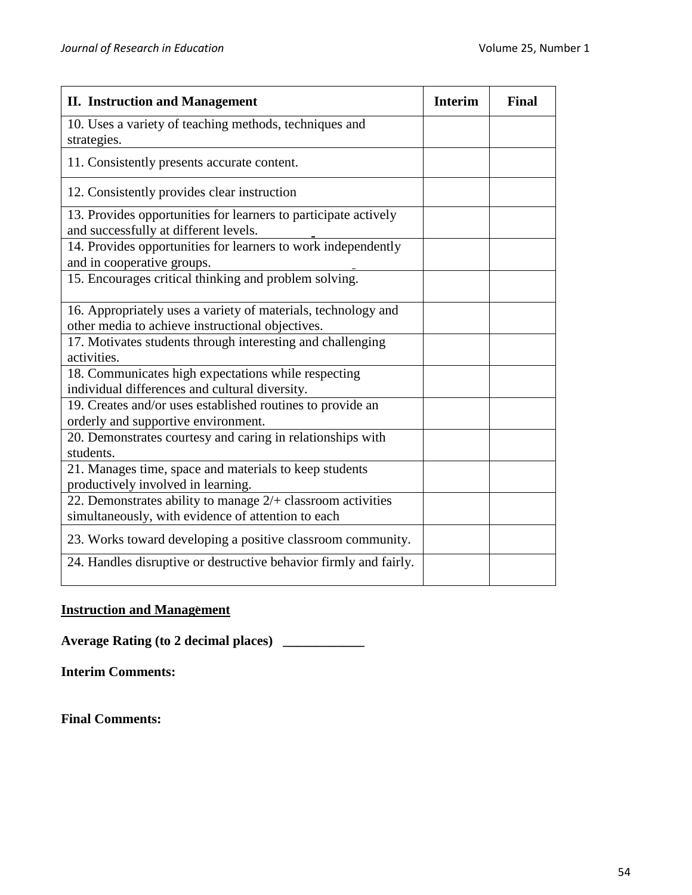| <b>II.</b> Instruction and Management                                                                                | <b>Interim</b> | <b>Final</b> |
|----------------------------------------------------------------------------------------------------------------------|----------------|--------------|
| 10. Uses a variety of teaching methods, techniques and<br>strategies.                                                |                |              |
| 11. Consistently presents accurate content.                                                                          |                |              |
| 12. Consistently provides clear instruction                                                                          |                |              |
| 13. Provides opportunities for learners to participate actively<br>and successfully at different levels.             |                |              |
| 14. Provides opportunities for learners to work independently<br>and in cooperative groups.                          |                |              |
| 15. Encourages critical thinking and problem solving.                                                                |                |              |
| 16. Appropriately uses a variety of materials, technology and<br>other media to achieve instructional objectives.    |                |              |
| 17. Motivates students through interesting and challenging<br>activities.                                            |                |              |
| 18. Communicates high expectations while respecting<br>individual differences and cultural diversity.                |                |              |
| 19. Creates and/or uses established routines to provide an<br>orderly and supportive environment.                    |                |              |
| 20. Demonstrates courtesy and caring in relationships with<br>students.                                              |                |              |
| 21. Manages time, space and materials to keep students<br>productively involved in learning.                         |                |              |
| 22. Demonstrates ability to manage $2/$ + classroom activities<br>simultaneously, with evidence of attention to each |                |              |
| 23. Works toward developing a positive classroom community.                                                          |                |              |
| 24. Handles disruptive or destructive behavior firmly and fairly.                                                    |                |              |

## **Instruction and Management**

**Average Rating (to 2 decimal places) \_\_\_\_\_\_\_\_\_\_\_\_**

**Interim Comments:**

**Final Comments:**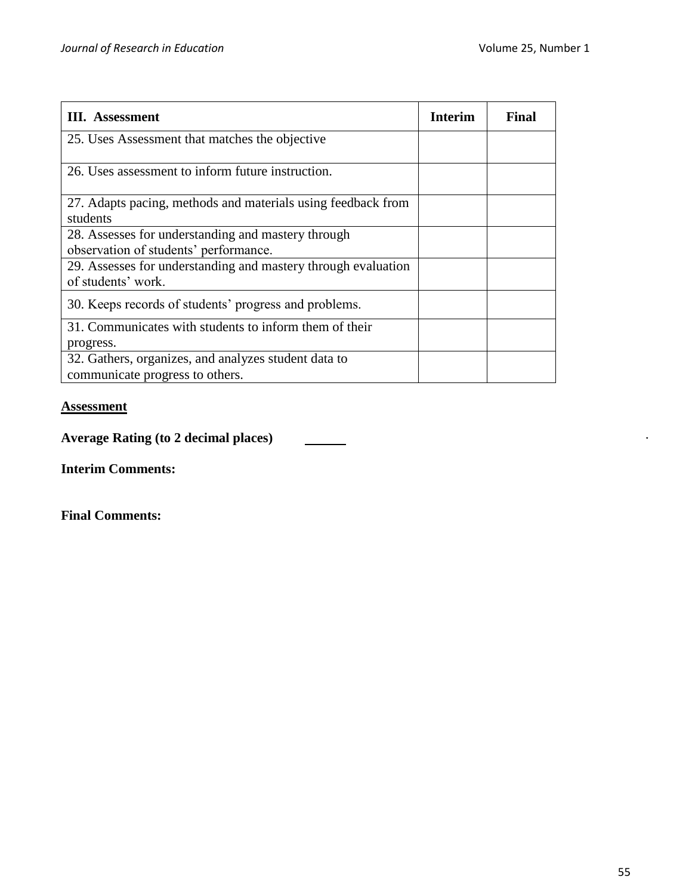| <b>III.</b> Assessment                                                                      | <b>Interim</b> | Final |
|---------------------------------------------------------------------------------------------|----------------|-------|
| 25. Uses Assessment that matches the objective                                              |                |       |
| 26. Uses assessment to inform future instruction.                                           |                |       |
| 27. Adapts pacing, methods and materials using feedback from<br>students                    |                |       |
| 28. Assesses for understanding and mastery through<br>observation of students' performance. |                |       |
| 29. Assesses for understanding and mastery through evaluation<br>of students' work.         |                |       |
| 30. Keeps records of students' progress and problems.                                       |                |       |
| 31. Communicates with students to inform them of their<br>progress.                         |                |       |
| 32. Gathers, organizes, and analyzes student data to<br>communicate progress to others.     |                |       |

## **Assessment**

**Average Rating (to 2 decimal places)**

**Interim Comments:**

**Final Comments:** 

 $\bullet$